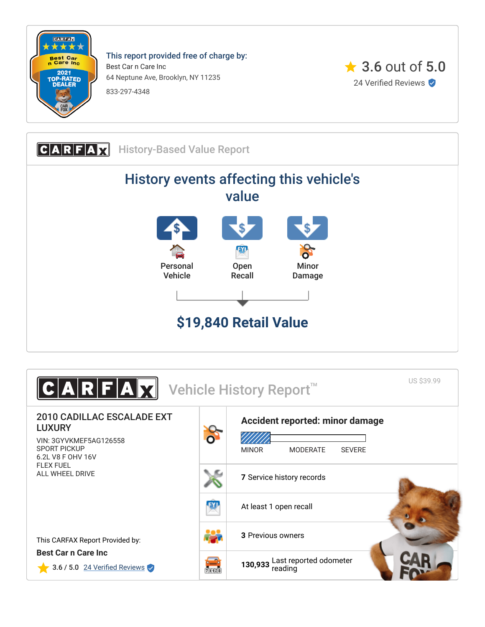

This report provided free of charge by: Best Car n Care Inc 64 Neptune Ave, Brooklyn, NY 11235 833-297-4348





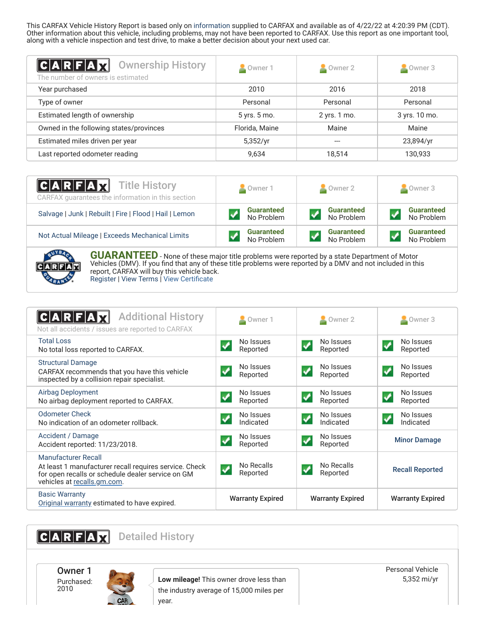This CARFAX Vehicle History Report is based only on [information](http://www.carfax.com/company/vhr-data-sources) supplied to CARFAX and available as of 4/22/22 at 4:20:39 PM (CDT). Other information about this vehicle, including problems, may not have been reported to CARFAX. Use this report as one important tool, along with a vehicle inspection and test drive, to make a better decision about your next used car.

<span id="page-1-2"></span>

| C A R F A X <br><b>Ownership History</b><br>The number of owners is estimated | Owner 1        | Owner 2      | Owner 3       |
|-------------------------------------------------------------------------------|----------------|--------------|---------------|
| Year purchased                                                                | 2010           | 2016         | 2018          |
| Type of owner                                                                 | Personal       | Personal     | Personal      |
| Estimated length of ownership                                                 | 5 yrs. 5 mo.   | 2 yrs. 1 mo. | 3 yrs. 10 mo. |
| Owned in the following states/provinces                                       | Florida, Maine | Maine        | Maine         |
| Estimated miles driven per year                                               | 5,352/yr       |              | 23,894/yr     |
| Last reported odometer reading                                                | 9,634          | 18.514       | 130,933       |

| <b>CARFAX</b> Title History<br>CARFAX guarantees the information in this section | Owner 1           | $\blacksquare$ Owner 2 | $\blacksquare$ Owner 3 |
|----------------------------------------------------------------------------------|-------------------|------------------------|------------------------|
| Salvage   Junk   Rebuilt   Fire   Flood   Hail   Lemon                           | <b>Guaranteed</b> | <b>Guaranteed</b>      | <b>Guaranteed</b>      |
|                                                                                  | No Problem        | No Problem             | No Problem             |
| Not Actual Mileage   Exceeds Mechanical Limits                                   | <b>Guaranteed</b> | <b>Guaranteed</b>      | <b>Guaranteed</b>      |
|                                                                                  | No Problem        | No Problem             | No Problem             |



**GUARANTEED** - None of these major title problems were reported by a state Department of Motor Vehicles (DMV). If you find that any of these title problems were reported by a DMV and not included in this report, CARFAX will buy this vehicle back. [Register](https://www.carfax.com/Service/bbg) | [View Terms](http://www.carfaxonline.com/legal/bbgTerms) | [View Certificate](https://www.carfaxonline.com/vhrs/3GYVKMEF5AG126558)

<span id="page-1-0"></span>

| <b>Additional History</b><br>Not all accidents / issues are reported to CARFAX                                                                                           | Owner 1                                    | $\blacksquare$ Owner 2                             | $\triangle$ Owner 3                              |
|--------------------------------------------------------------------------------------------------------------------------------------------------------------------------|--------------------------------------------|----------------------------------------------------|--------------------------------------------------|
| <b>Total Loss</b><br>No total loss reported to CARFAX.                                                                                                                   | No Issues<br>Reported                      | No Issues<br>ᢦ<br>Reported                         | No Issues<br>$\overline{\mathbf{v}}$<br>Reported |
| <b>Structural Damage</b><br>CARFAX recommends that you have this vehicle<br>inspected by a collision repair specialist.                                                  | No Issues<br>Reported                      | No Issues<br>$\checkmark$<br>Reported              | No Issues<br>✔<br>Reported                       |
| <b>Airbag Deployment</b><br>No airbag deployment reported to CARFAX.                                                                                                     | No Issues<br>Reported                      | No Issues<br>Reported                              | No Issues<br>Reported                            |
| <b>Odometer Check</b><br>No indication of an odometer rollback.                                                                                                          | No Issues<br>Indicated                     | No Issues<br>$\overline{\mathcal{L}}$<br>Indicated | No Issues<br>$\checkmark$<br>Indicated           |
| Accident / Damage<br>Accident reported: 11/23/2018.                                                                                                                      | No Issues<br>Reported                      | No Issues<br>Reported                              | <b>Minor Damage</b>                              |
| <b>Manufacturer Recall</b><br>At least 1 manufacturer recall requires service. Check<br>for open recalls or schedule dealer service on GM<br>vehicles at recalls.gm.com. | No Recalls<br>$\boldsymbol{v}$<br>Reported | No Recalls<br>$\blacktriangledown$<br>Reported     | <b>Recall Reported</b>                           |
| <b>Basic Warranty</b><br>Original warranty estimated to have expired.                                                                                                    | <b>Warranty Expired</b>                    | <b>Warranty Expired</b>                            | <b>Warranty Expired</b>                          |

<span id="page-1-1"></span>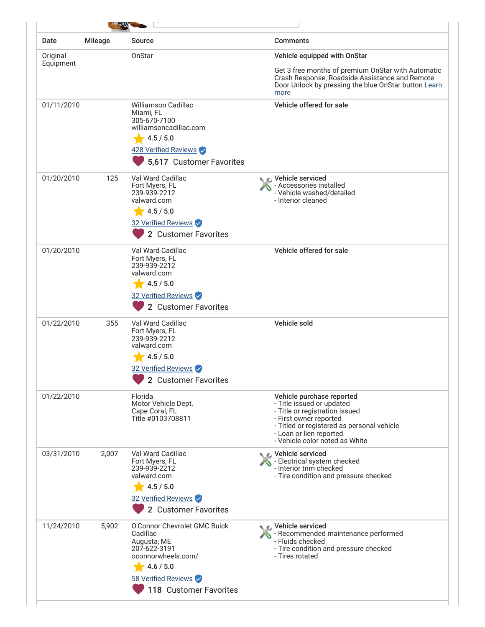| Date       | <b>Mileage</b> | <b>Source</b>                                                                                                                                               | <b>Comments</b>                                                                                                                                                                                                               |
|------------|----------------|-------------------------------------------------------------------------------------------------------------------------------------------------------------|-------------------------------------------------------------------------------------------------------------------------------------------------------------------------------------------------------------------------------|
| Original   |                | OnStar                                                                                                                                                      | Vehicle equipped with OnStar                                                                                                                                                                                                  |
| Equipment  |                |                                                                                                                                                             | Get 3 free months of premium OnStar with Automatic<br>Crash Response, Roadside Assistance and Remote<br>Door Unlock by pressing the blue OnStar button Learn<br>more                                                          |
| 01/11/2010 |                | <b>Williamson Cadillac</b><br>Miami, FL<br>305-670-7100<br>williamsoncadillac.com<br>4.5 / 5.0<br>428 Verified Reviews<br>5,617 Customer Favorites          | Vehicle offered for sale                                                                                                                                                                                                      |
| 01/20/2010 | 125            | Val Ward Cadillac<br>Fort Myers, FL<br>239-939-2212<br>valward.com<br>4.5 / 5.0<br>32 Verified Reviews<br>2 Customer Favorites                              | ⊾ c Vehicle serviced<br>- Accessories installed<br>- Vehicle washed/detailed<br>- Interior cleaned                                                                                                                            |
| 01/20/2010 |                | Val Ward Cadillac<br>Fort Myers, FL<br>239-939-2212<br>valward.com<br>4.5 / 5.0<br>32 Verified Reviews<br>2 Customer Favorites                              | Vehicle offered for sale                                                                                                                                                                                                      |
| 01/22/2010 | 355            | Val Ward Cadillac<br>Fort Myers, FL<br>239-939-2212<br>valward.com<br>4.5 / 5.0<br>32 Verified Reviews<br>2 Customer Favorites                              | Vehicle sold                                                                                                                                                                                                                  |
| 01/22/2010 |                | Florida<br>Motor Vehicle Dept.<br>Cape Coral, FL<br>Title #0103708811                                                                                       | Vehicle purchase reported<br>- Title issued or updated<br>- Title or registration issued<br>- First owner reported<br>- Titled or registered as personal vehicle<br>- Loan or lien reported<br>- Vehicle color noted as White |
| 03/31/2010 | 2,007          | Val Ward Cadillac<br>Fort Myers, FL<br>239-939-2212<br>valward.com<br>4.5 / 5.0<br>32 Verified Reviews<br>2 Customer Favorites                              | C Vehicle serviced<br>- Electrical system checked<br>- Interior trim checked<br>- Tire condition and pressure checked                                                                                                         |
| 11/24/2010 | 5,902          | O'Connor Chevrolet GMC Buick<br>Cadillac<br>Augusta, ME<br>207-622-3191<br>oconnorwheels.com/<br>4.6 / 5.0<br>58 Verified Reviews<br>118 Customer Favorites | िट, Vehicle serviced<br>- Recommended maintenance performed<br>- Fluids checked<br>- Tire condition and pressure checked<br>- Tires rotated                                                                                   |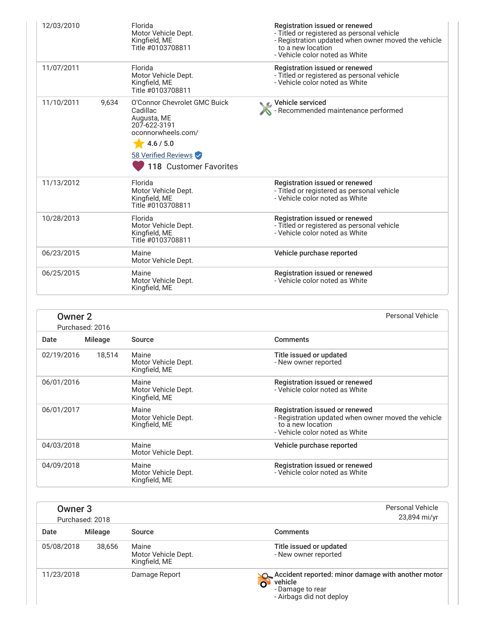| 12/03/2010 | Florida<br>Motor Vehicle Dept.<br>Kingfield, ME<br>Title #0103708811                                                                                                 | Registration issued or renewed<br>- Titled or registered as personal vehicle<br>- Registration updated when owner moved the vehicle<br>to a new location<br>- Vehicle color noted as White |
|------------|----------------------------------------------------------------------------------------------------------------------------------------------------------------------|--------------------------------------------------------------------------------------------------------------------------------------------------------------------------------------------|
| 11/07/2011 | Florida<br>Motor Vehicle Dept.<br>Kingfield, ME<br>Title #0103708811                                                                                                 | Registration issued or renewed<br>- Titled or registered as personal vehicle<br>- Vehicle color noted as White                                                                             |
| 11/10/2011 | O'Connor Chevrolet GMC Buick<br>9.634<br>Cadillac<br>Augusta, ME<br>207-622-3191<br>oconnorwheels.com/<br>4.6 / 5.0<br>58 Verified Reviews<br>118 Customer Favorites | ९ ⊾ Vehicle serviced<br>- Recommended maintenance performed                                                                                                                                |
| 11/13/2012 | Florida<br>Motor Vehicle Dept.<br>Kingfield, ME<br>Title #0103708811                                                                                                 | Registration issued or renewed<br>- Titled or registered as personal vehicle<br>- Vehicle color noted as White                                                                             |
| 10/28/2013 | Florida<br>Motor Vehicle Dept.<br>Kingfield, ME<br>Title #0103708811                                                                                                 | Registration issued or renewed<br>- Titled or registered as personal vehicle<br>- Vehicle color noted as White                                                                             |
| 06/23/2015 | Maine<br>Motor Vehicle Dept.                                                                                                                                         | Vehicle purchase reported                                                                                                                                                                  |
| 06/25/2015 | Maine<br>Motor Vehicle Dept.<br>Kingfield, ME                                                                                                                        | Registration issued or renewed<br>- Vehicle color noted as White                                                                                                                           |

| <b>Owner 2</b> | Purchased: 2016 |                                               | <b>Personal Vehicle</b>                                                                                                                      |
|----------------|-----------------|-----------------------------------------------|----------------------------------------------------------------------------------------------------------------------------------------------|
| Date           | Mileage         | Source                                        | <b>Comments</b>                                                                                                                              |
| 02/19/2016     | 18.514          | Maine<br>Motor Vehicle Dept.<br>Kingfield, ME | Title issued or updated<br>- New owner reported                                                                                              |
| 06/01/2016     |                 | Maine<br>Motor Vehicle Dept.<br>Kingfield, ME | Registration issued or renewed<br>- Vehicle color noted as White                                                                             |
| 06/01/2017     |                 | Maine<br>Motor Vehicle Dept.<br>Kingfield, ME | Registration issued or renewed<br>- Registration updated when owner moved the vehicle<br>to a new location<br>- Vehicle color noted as White |
| 04/03/2018     |                 | Maine<br>Motor Vehicle Dept.                  | Vehicle purchase reported                                                                                                                    |
| 04/09/2018     |                 | Maine<br>Motor Vehicle Dept.<br>Kingfield, ME | Registration issued or renewed<br>- Vehicle color noted as White                                                                             |

<span id="page-3-0"></span>

| Owner <sub>3</sub> | Purchased: 2018 |                                               | <b>Personal Vehicle</b><br>23,894 mi/yr                                                                                                  |
|--------------------|-----------------|-----------------------------------------------|------------------------------------------------------------------------------------------------------------------------------------------|
| Date               | Mileage         | Source                                        | <b>Comments</b>                                                                                                                          |
| 05/08/2018         | 38,656          | Maine<br>Motor Vehicle Dept.<br>Kingfield, ME | Title issued or updated<br>- New owner reported                                                                                          |
| 11/23/2018         |                 | Damage Report                                 | Accident reported: minor damage with another motor<br>vehicle<br>$\overline{\mathbf{o}}$<br>- Damage to rear<br>- Airbags did not deploy |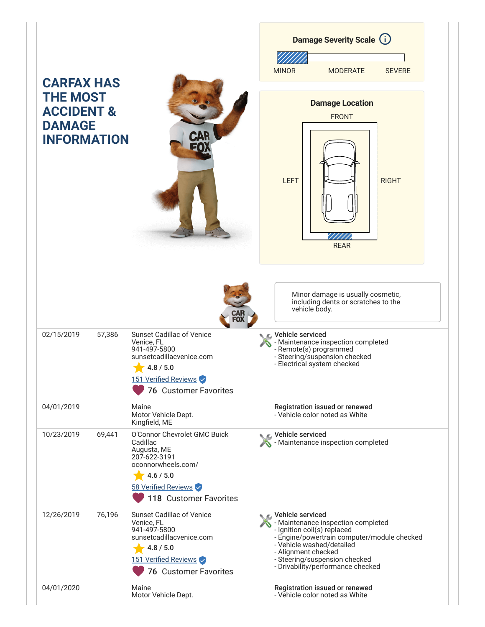|                                                                                                      |                                                                                                                                                                 |                                           | <b>Damage Severity Scale (i)</b>                                                                                                                                                                                          |               |
|------------------------------------------------------------------------------------------------------|-----------------------------------------------------------------------------------------------------------------------------------------------------------------|-------------------------------------------|---------------------------------------------------------------------------------------------------------------------------------------------------------------------------------------------------------------------------|---------------|
|                                                                                                      |                                                                                                                                                                 | <b>MINOR</b>                              | <b>MODERATE</b>                                                                                                                                                                                                           | <b>SEVERE</b> |
| <b>CARFAX HAS</b><br><b>THE MOST</b><br><b>ACCIDENT &amp;</b><br><b>DAMAGE</b><br><b>INFORMATION</b> |                                                                                                                                                                 | <b>LEFT</b>                               | <b>Damage Location</b><br><b>FRONT</b><br><b>REAR</b>                                                                                                                                                                     | <b>RIGHT</b>  |
| 02/15/2019<br>57,386                                                                                 | <b>Sunset Cadillac of Venice</b><br>Venice, FL<br>941-497-5800<br>sunsetcadillacvenice.com<br>4.8 / 5.0<br>151 Verified Reviews                                 | Vehicle serviced                          | Minor damage is usually cosmetic,<br>including dents or scratches to the<br>vehicle body.<br>- Maintenance inspection completed<br>- Remote(s) programmed<br>- Steering/suspension checked<br>- Electrical system checked |               |
| 04/01/2019                                                                                           | <b>76 Customer Favorites</b><br>Maine<br>Motor Vehicle Dept.<br>Kingfield, ME                                                                                   |                                           | Registration issued or renewed<br>- Vehicle color noted as White                                                                                                                                                          |               |
| 10/23/2019<br>69,441                                                                                 | O'Connor Chevrolet GMC Buick<br>Cadillac<br>Augusta, ME<br>207-622-3191<br>oconnorwheels.com/<br>4.6 / 5.0<br>58 Verified Reviews<br>118 Customer Favorites     | Vehicle serviced                          | Maintenance inspection completed                                                                                                                                                                                          |               |
| 12/26/2019<br>76,196                                                                                 | <b>Sunset Cadillac of Venice</b><br>Venice, FL<br>941-497-5800<br>sunsetcadillacvenice.com<br>4.8 / 5.0<br>151 Verified Reviews<br><b>76 Customer Favorites</b> | C Vehicle serviced<br>- Alignment checked | - Maintenance inspection completed<br>- Ignition coil(s) replaced<br>- Engine/powertrain computer/module checked<br>- Vehicle washed/detailed<br>- Steering/suspension checked<br>- Drivability/performance checked       |               |
| 04/01/2020                                                                                           | Maine<br>Motor Vehicle Dept.                                                                                                                                    |                                           | Registration issued or renewed<br>- Vehicle color noted as White                                                                                                                                                          |               |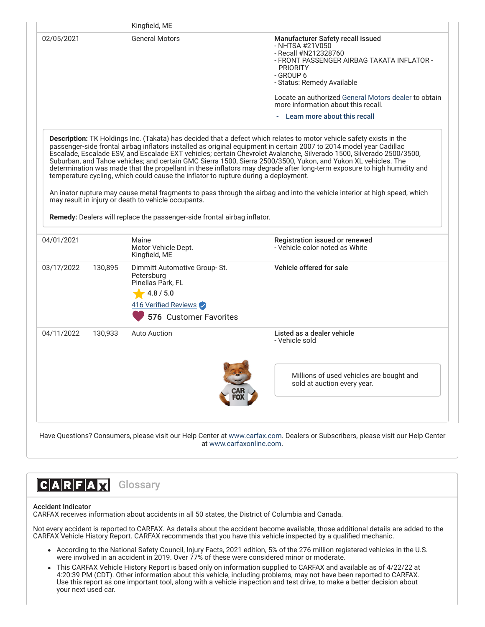|            |         | Kingfield, ME<br><b>General Motors</b>                                                                                                                                                                                 | Manufacturer Safety recall issued                                                                                                                                                                                                                                                                                                                                                                                                                                                              |
|------------|---------|------------------------------------------------------------------------------------------------------------------------------------------------------------------------------------------------------------------------|------------------------------------------------------------------------------------------------------------------------------------------------------------------------------------------------------------------------------------------------------------------------------------------------------------------------------------------------------------------------------------------------------------------------------------------------------------------------------------------------|
| 02/05/2021 |         |                                                                                                                                                                                                                        | - NHTSA #21V050<br>- Recall #N212328760<br>- FRONT PASSENGER AIRBAG TAKATA INFLATOR -<br><b>PRIORITY</b>                                                                                                                                                                                                                                                                                                                                                                                       |
|            |         |                                                                                                                                                                                                                        | - GROUP 6<br>- Status: Remedy Available                                                                                                                                                                                                                                                                                                                                                                                                                                                        |
|            |         |                                                                                                                                                                                                                        | Locate an authorized General Motors dealer to obtain<br>more information about this recall.                                                                                                                                                                                                                                                                                                                                                                                                    |
|            |         |                                                                                                                                                                                                                        | Learn more about this recall                                                                                                                                                                                                                                                                                                                                                                                                                                                                   |
|            |         | temperature cycling, which could cause the inflator to rupture during a deployment.<br>may result in injury or death to vehicle occupants.<br>Remedy: Dealers will replace the passenger-side frontal airbag inflator. | Escalade, Escalade ESV, and Escalade EXT vehicles; certain Chevrolet Avalanche, Silverado 1500, Silverado 2500/3500,<br>Suburban, and Tahoe vehicles; and certain GMC Sierra 1500, Sierra 2500/3500, Yukon, and Yukon XL vehicles. The<br>determination was made that the propellant in these inflators may degrade after long-term exposure to high humidity and<br>An inator rupture may cause metal fragments to pass through the airbag and into the vehicle interior at high speed, which |
| 04/01/2021 |         | Maine<br>Motor Vehicle Dept.<br>Kingfield, ME                                                                                                                                                                          | Registration issued or renewed<br>- Vehicle color noted as White                                                                                                                                                                                                                                                                                                                                                                                                                               |
|            | 130,895 | Dimmitt Automotive Group-St.                                                                                                                                                                                           | Vehicle offered for sale                                                                                                                                                                                                                                                                                                                                                                                                                                                                       |
|            |         | Petersburg<br>Pinellas Park, FL<br>4.8 / 5.0                                                                                                                                                                           |                                                                                                                                                                                                                                                                                                                                                                                                                                                                                                |
|            |         | 416 Verified Reviews                                                                                                                                                                                                   |                                                                                                                                                                                                                                                                                                                                                                                                                                                                                                |
| 03/17/2022 |         | 576 Customer Favorites                                                                                                                                                                                                 |                                                                                                                                                                                                                                                                                                                                                                                                                                                                                                |
| 04/11/2022 | 130,933 | <b>Auto Auction</b>                                                                                                                                                                                                    | Listed as a dealer vehicle<br>- Vehicle sold                                                                                                                                                                                                                                                                                                                                                                                                                                                   |
|            |         |                                                                                                                                                                                                                        | Millions of used vehicles are bought and<br>sold at auction every year.                                                                                                                                                                                                                                                                                                                                                                                                                        |



### Accident Indicator

CARFAX receives information about accidents in all 50 states, the District of Columbia and Canada.

Not every accident is reported to CARFAX. As details about the accident become available, those additional details are added to the CARFAX Vehicle History Report. CARFAX recommends that you have this vehicle inspected by a qualified mechanic.

- According to the National Safety Council, Injury Facts, 2021 edition, 5% of the 276 million registered vehicles in the U.S. were involved in an accident in 2019. Over 77% of these were considered minor or moderate.
- This CARFAX Vehicle History Report is based only on information supplied to CARFAX and available as of 4/22/22 at 4:20:39 PM (CDT). Other information about this vehicle, including problems, may not have been reported to CARFAX. Use this report as one important tool, along with a vehicle inspection and test drive, to make a better decision about your next used car.